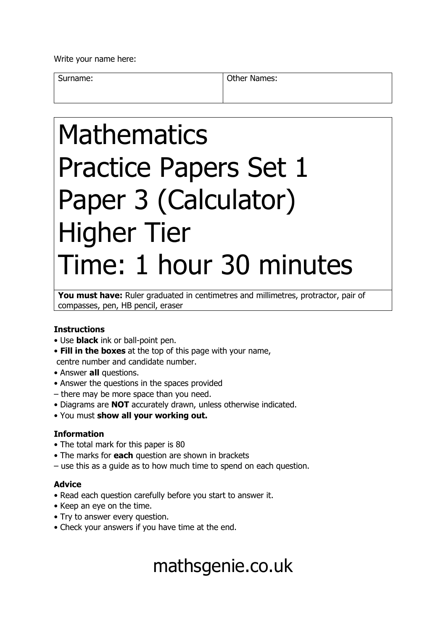Write your name here:

Surname: **Other Names: Other Names:** 

# Mathematics Practice Papers Set 1 Paper 3 (Calculator) Higher Tier Time: 1 hour 30 minutes

You must have: Ruler graduated in centimetres and millimetres, protractor, pair of compasses, pen, HB pencil, eraser

### **Instructions**

- Use **black** ink or ball-point pen.
- **Fill in the boxes** at the top of this page with your name, centre number and candidate number.
- Answer **all** questions.
- Answer the questions in the spaces provided
- there may be more space than you need.
- Diagrams are **NOT** accurately drawn, unless otherwise indicated.
- You must **show all your working out.**

### **Information**

- The total mark for this paper is 80
- The marks for **each** question are shown in brackets
- use this as a guide as to how much time to spend on each question.

### **Advice**

- Read each question carefully before you start to answer it.
- Keep an eye on the time.
- Try to answer every question.
- Check your answers if you have time at the end.

## mathsgenie.co.uk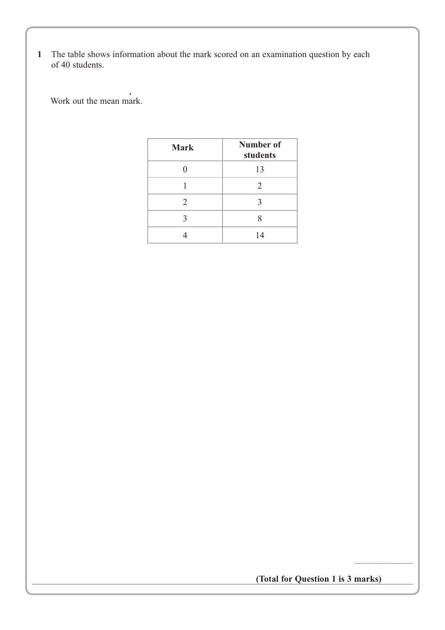**1** The table shows information about the mark scored on an examination question by each of 40 students.

**.** Work out the mean mark.

| <b>Mark</b> | <b>Number of</b><br>students |
|-------------|------------------------------|
|             | 13                           |
|             | 2                            |
| 2           | 3                            |
| 3           | 8                            |
|             | 14                           |

**(Total for Question 1 is 3 marks)**

...............................................................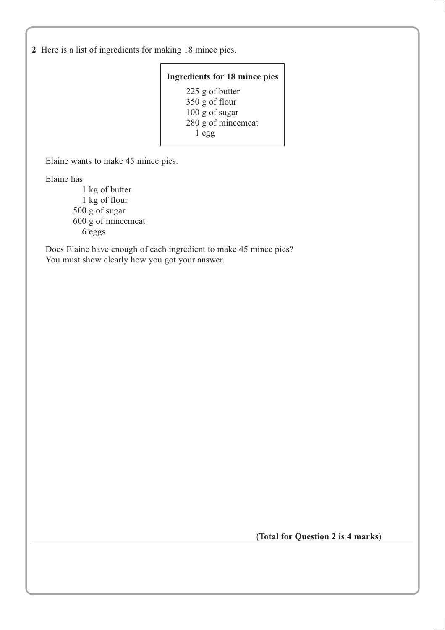**2** Here is a list of ingredients for making 18 mince pies.

#### **Ingredients for 18 mince pies**

225 g of butter 350 g of flour 100 g of sugar 280 g of mincemeat 1 egg

Elaine wants to make 45 mince pies.

Elaine has

1 kg of butter 1 kg of flour 500 g of sugar 600 g of mincemeat 6 eggs

Does Elaine have enough of each ingredient to make 45 mince pies? You must show clearly how you got your answer.

**(Total for Question 2 is 4 marks)**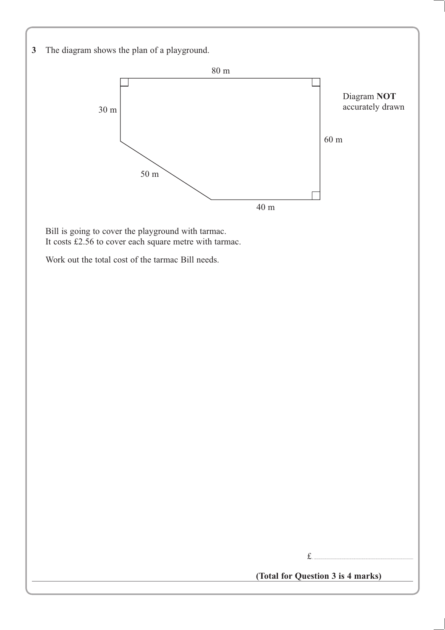**3** The diagram shows the plan of a playground.



Bill is going to cover the playground with tarmac. It costs  $\pm 2.56$  to cover each square metre with tarmac.

Work out the total cost of the tarmac Bill needs.



**(Total for Question 3 is 4 marks)**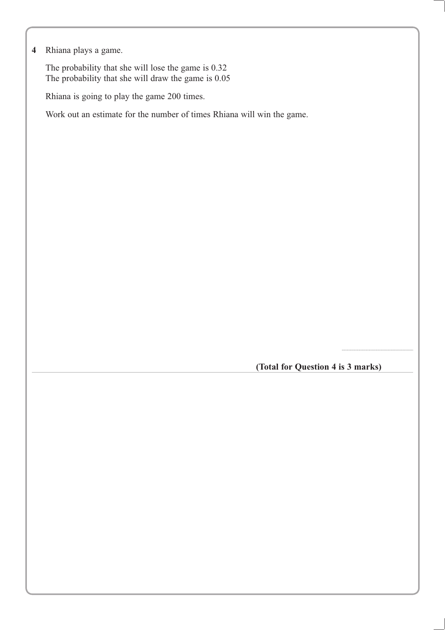### **4** Rhiana plays a game.

The probability that she will lose the game is 0.32 The probability that she will draw the game is 0.05

Rhiana is going to play the game 200 times.

Work out an estimate for the number of times Rhiana will win the game.

**(Total for Question 4 is 3 marks)**

................................................................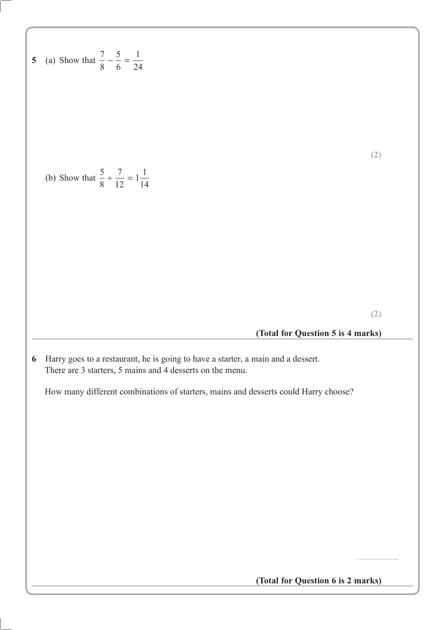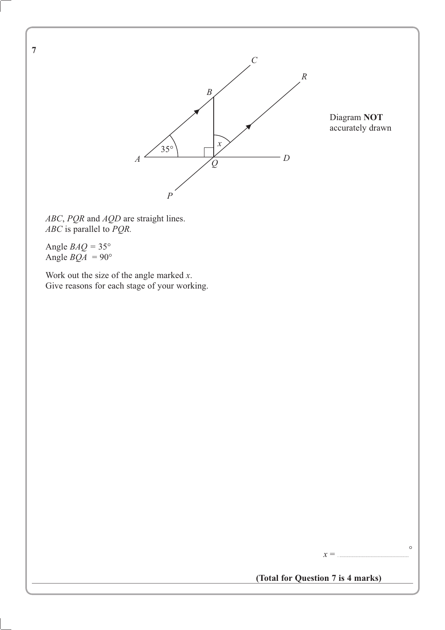

Diagram **NOT** accurately drawn

*ABC*, *PQR* and *AQD* are straight lines. *ABC* is parallel to *PQR.*

Angle  $BAQ = 35^\circ$ Angle  $BQA = 90^\circ$ 

Work out the size of the angle marked *x*. Give reasons for each stage of your working.

**7**



 $x = ...$ 

 $\circ$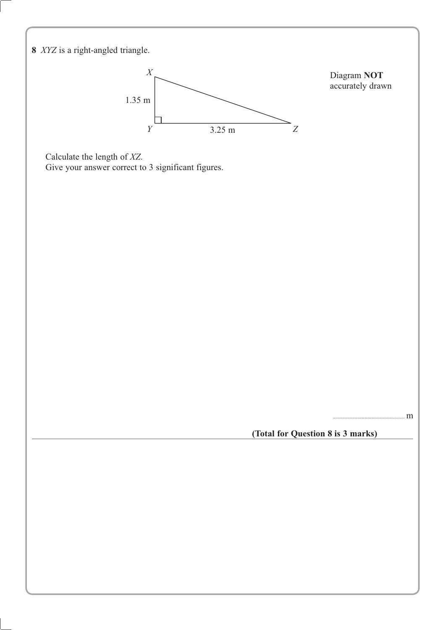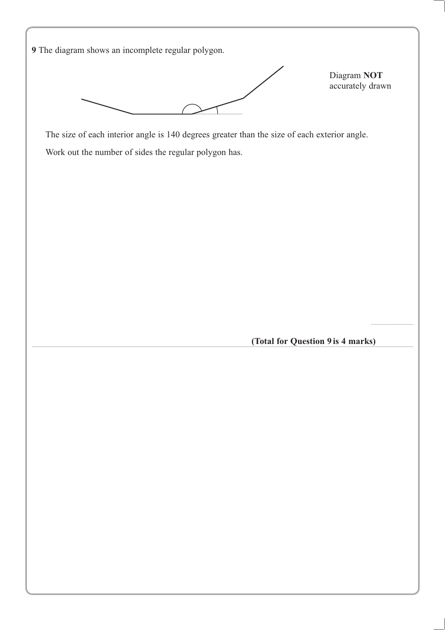**9** The diagram shows an incomplete regular polygon. The size of each interior angle is 140 degrees greater than the size of each exterior angle. Work out the number of sides the regular polygon has. Diagram **NOT** accurately drawn

(Total for Question 9 is 4 marks)

(((((((((((((((((((((((((((((((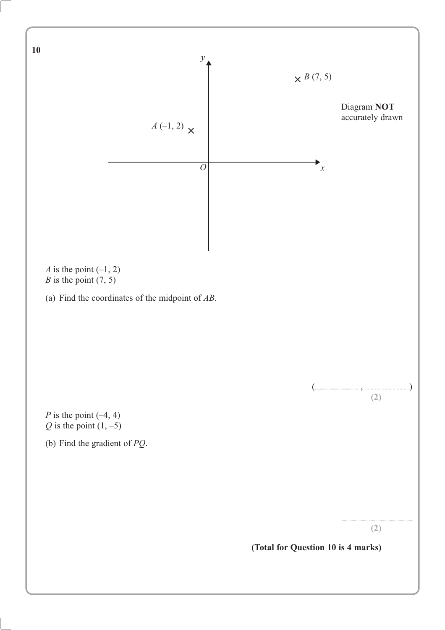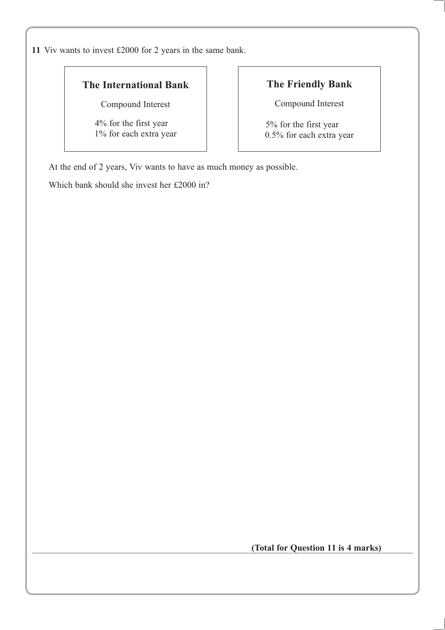**11** Viv wants to invest £2000 for 2 years in the same bank.

### **The International Bank**

Compound Interest

4% for the first year 1% for each extra year

### **The Friendly Bank**

Compound Interest

5% for the first year 0.5% for each extra year

At the end of 2 years, Viv wants to have as much money as possible.

Which bank should she invest her £2000 in?

**(Total for Question 11 is 4 marks)**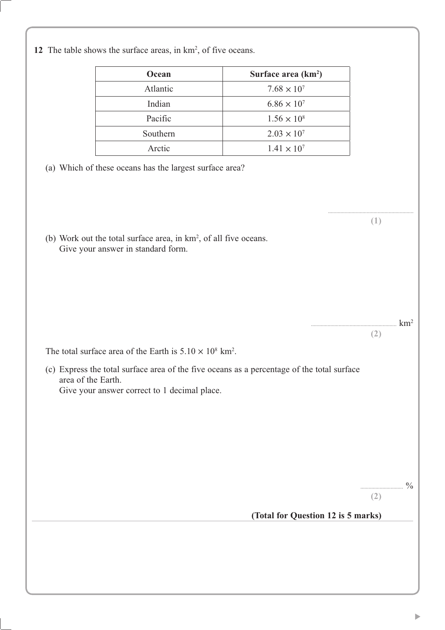12 The table shows the surface areas, in  $km^2$ , of five oceans.

| Ocean    | Surface area $(km^2)$ |  |
|----------|-----------------------|--|
| Atlantic | $7.68 \times 10^{7}$  |  |
| Indian   | $6.86 \times 10^{7}$  |  |
| Pacific  | $1.56 \times 10^8$    |  |
| Southern | $2.03 \times 10^{7}$  |  |
| Arctic   | $1.41 \times 10^{7}$  |  |

- (a) Which of these oceans has the largest surface area?
- (b) Work out the total surface area, in  $km^2$ , of all five oceans. Give your answer in standard form.

The total surface area of the Earth is  $5.10 \times 10^8$  km<sup>2</sup>.

(c) Express the total surface area of the five oceans as a percentage of the total surface area of the Earth. Give your answer correct to 1 decimal place.

 $\frac{0}{\sqrt{0}}$ 

 $\rm_{\rm{16.16}}$  km<sup>2</sup>

(((((((((((((((((((((((((((((((((((((((((((((((((((((((((((((( 

(Total for Question 12 is 5 marks)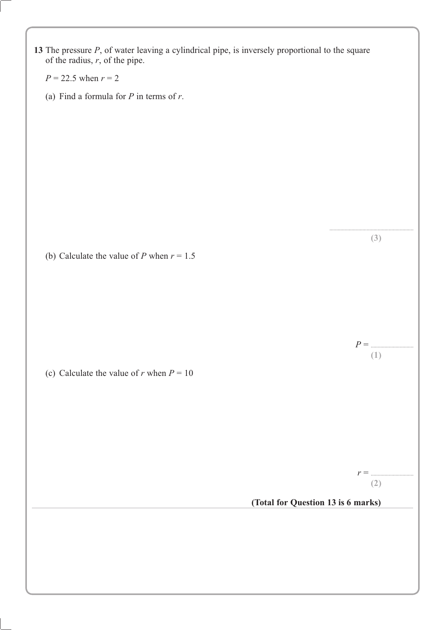| 13 The pressure $P$ , of water leaving a cylindrical pipe, is inversely proportional to the square<br>of the radius, $r$ , of the pipe. |                                    |
|-----------------------------------------------------------------------------------------------------------------------------------------|------------------------------------|
| $P = 22.5$ when $r = 2$                                                                                                                 |                                    |
| (a) Find a formula for $P$ in terms of $r$ .                                                                                            |                                    |
|                                                                                                                                         |                                    |
|                                                                                                                                         |                                    |
|                                                                                                                                         |                                    |
|                                                                                                                                         |                                    |
|                                                                                                                                         |                                    |
|                                                                                                                                         |                                    |
|                                                                                                                                         |                                    |
|                                                                                                                                         | (3)                                |
| (b) Calculate the value of P when $r = 1.5$                                                                                             |                                    |
|                                                                                                                                         |                                    |
|                                                                                                                                         |                                    |
|                                                                                                                                         |                                    |
|                                                                                                                                         | $P = \dots$                        |
|                                                                                                                                         | (1)                                |
| (c) Calculate the value of r when $P = 10$                                                                                              |                                    |
|                                                                                                                                         |                                    |
|                                                                                                                                         |                                    |
|                                                                                                                                         |                                    |
|                                                                                                                                         |                                    |
|                                                                                                                                         | $r =$                              |
|                                                                                                                                         | (2)                                |
|                                                                                                                                         | (Total for Question 13 is 6 marks) |
|                                                                                                                                         |                                    |
|                                                                                                                                         |                                    |
|                                                                                                                                         |                                    |
|                                                                                                                                         |                                    |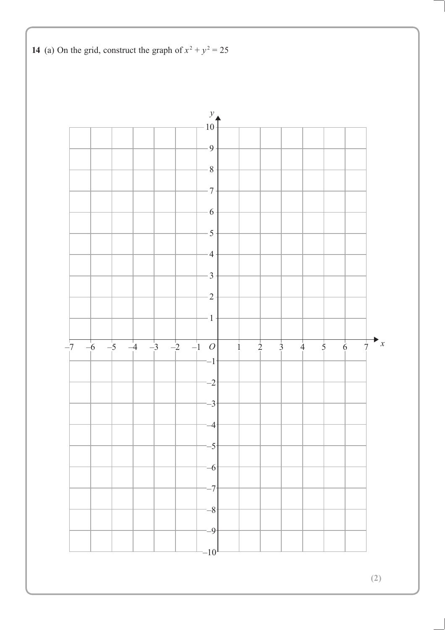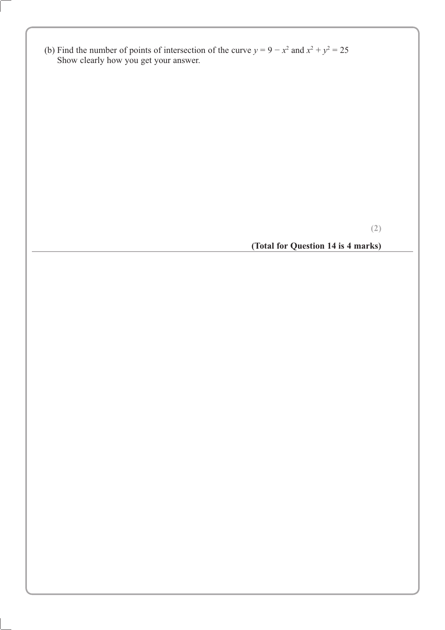(b) Find the number of points of intersection of the curve  $y = 9 - x^2$  and  $x^2 + y^2 = 25$ Show clearly how you get your answer.

**(2)**

**(Total for Question 14 is 4 marks)**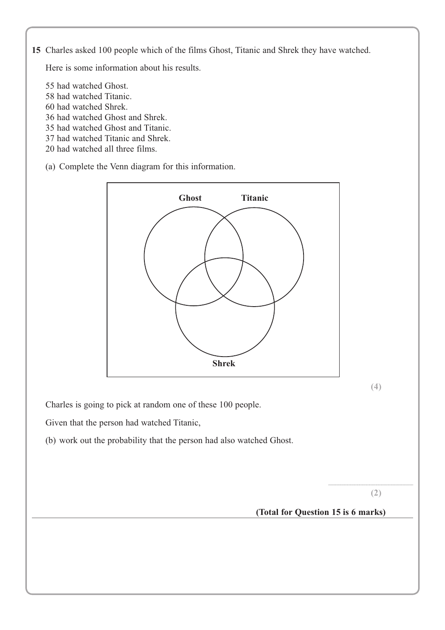**15** Charles asked 100 people which of the films Ghost, Titanic and Shrek they have watched.

Here is some information about his results.

- 55 had watched Ghost.
- 58 had watched Titanic.
- 60 had watched Shrek.
- 36 had watched Ghost and Shrek.
- 35 had watched Ghost and Titanic.
- 37 had watched Titanic and Shrek.
- 20 had watched all three films.
- (a) Complete the Venn diagram for this information.



**(4)**

Charles is going to pick at random one of these 100 people.

Given that the person had watched Titanic,

(b) work out the probability that the person had also watched Ghost.

**(2)**

............................................................................

**(Total for Question 15 is 6 marks)**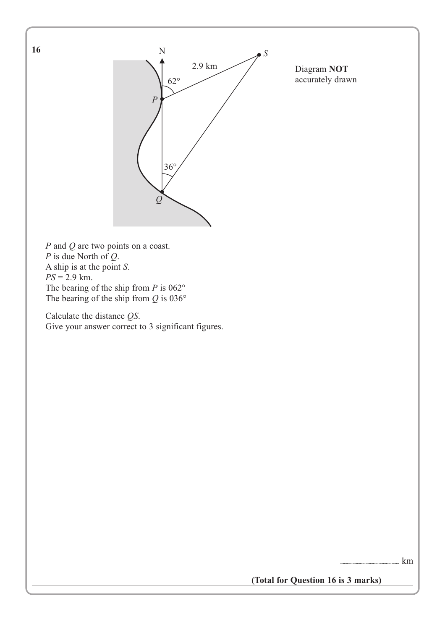

Diagram **NOT** accurately drawn

*P* and *Q* are two points on a coast. *P* is due North of *Q*. A ship is at the point *S*.  $PS = 2.9$  km. The bearing of the ship from *P* is 062° The bearing of the ship from *Q* is 036°

Calculate the distance *QS*. Give your answer correct to 3 significant figures.

 $\mathop{\rm Im}\nolimits$ 

**(Total for Question 16 is 3 marks)**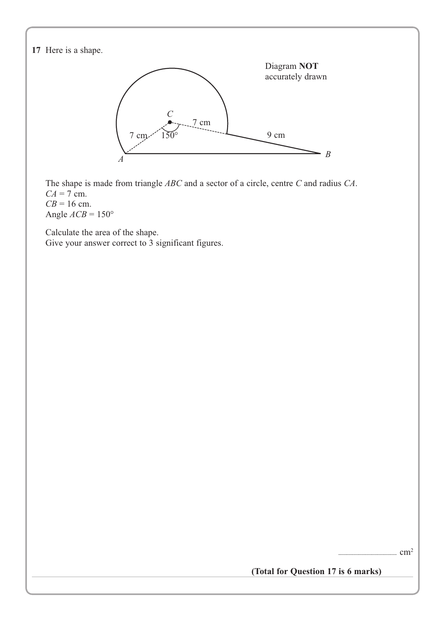**17** Here is a shape. The shape is made from triangle *ABC* and a sector of a circle, centre *C* and radius *CA*.  $CA = 7$  cm.  $CB = 16$  cm. Angle  $ACB = 150^{\circ}$ Calculate the area of the shape. Give your answer correct to 3 significant figures.  $cm<sup>2</sup>$ **(Total for Question 17 is 6 marks)** Diagram **NOT** accurately drawn *B*  $7 \text{ cm}$   $150$  $\overline{C}$ 9 cm 7 cm *A*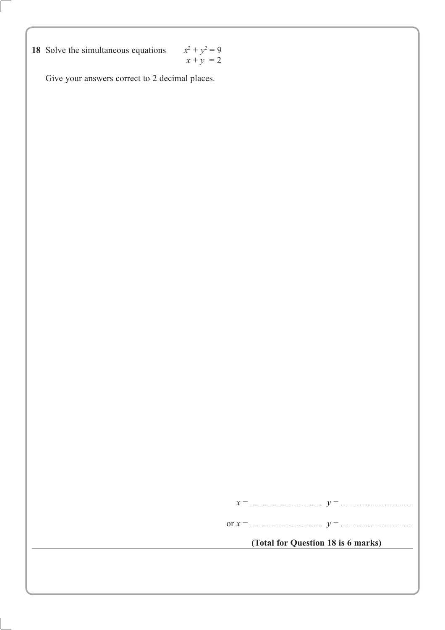**18** Solve the simultaneous equations  $x^2 + y^2 = 9$ 

$$
x^2 + y^2 = 9
$$
  

$$
x + y = 2
$$

Give your answers correct to 2 decimal places.